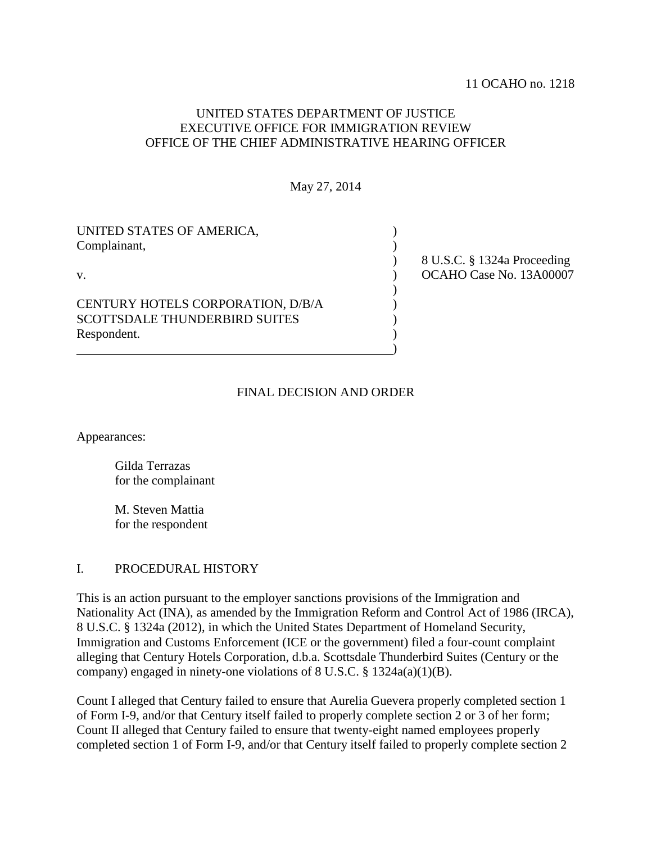# UNITED STATES DEPARTMENT OF JUSTICE EXECUTIVE OFFICE FOR IMMIGRATION REVIEW OFFICE OF THE CHIEF ADMINISTRATIVE HEARING OFFICER

May 27, 2014

| UNITED STATES OF AMERICA,<br>Complainant,                                                |                                                        |
|------------------------------------------------------------------------------------------|--------------------------------------------------------|
| V.                                                                                       | 8 U.S.C. § 1324a Proceeding<br>OCAHO Case No. 13A00007 |
| CENTURY HOTELS CORPORATION, D/B/A<br><b>SCOTTSDALE THUNDERBIRD SUITES</b><br>Respondent. |                                                        |
|                                                                                          |                                                        |

## FINAL DECISION AND ORDER

Appearances:

Gilda Terrazas for the complainant

M. Steven Mattia for the respondent

### I. PROCEDURAL HISTORY

This is an action pursuant to the employer sanctions provisions of the Immigration and Nationality Act (INA), as amended by the Immigration Reform and Control Act of 1986 (IRCA), 8 U.S.C. § 1324a (2012), in which the United States Department of Homeland Security, Immigration and Customs Enforcement (ICE or the government) filed a four-count complaint alleging that Century Hotels Corporation, d.b.a. Scottsdale Thunderbird Suites (Century or the company) engaged in ninety-one violations of 8 U.S.C. § 1324a(a)(1)(B).

Count I alleged that Century failed to ensure that Aurelia Guevera properly completed section 1 of Form I-9, and/or that Century itself failed to properly complete section 2 or 3 of her form; Count II alleged that Century failed to ensure that twenty-eight named employees properly completed section 1 of Form I-9, and/or that Century itself failed to properly complete section 2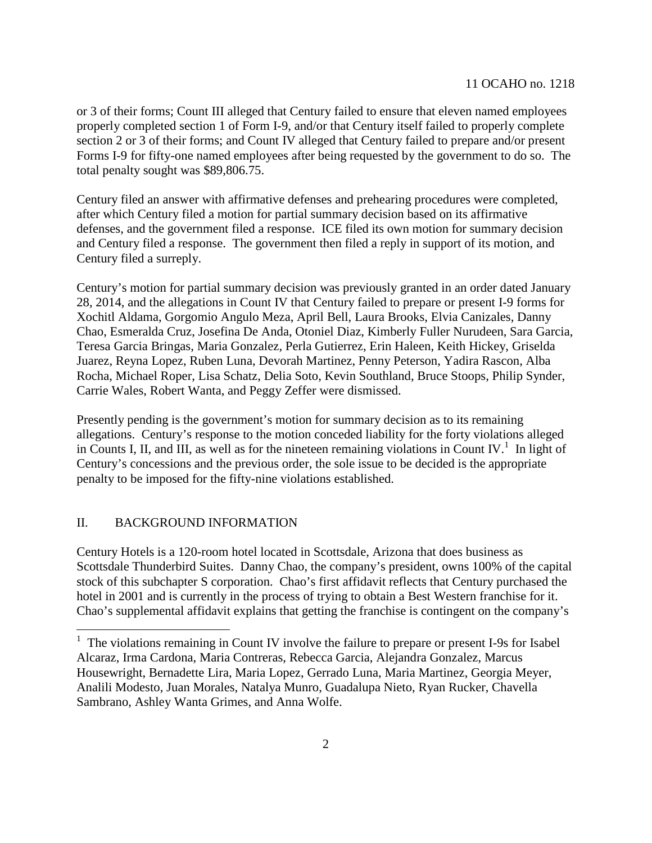or 3 of their forms; Count III alleged that Century failed to ensure that eleven named employees properly completed section 1 of Form I-9, and/or that Century itself failed to properly complete section 2 or 3 of their forms; and Count IV alleged that Century failed to prepare and/or present Forms I-9 for fifty-one named employees after being requested by the government to do so. The total penalty sought was \$89,806.75.

Century filed an answer with affirmative defenses and prehearing procedures were completed, after which Century filed a motion for partial summary decision based on its affirmative defenses, and the government filed a response. ICE filed its own motion for summary decision and Century filed a response. The government then filed a reply in support of its motion, and Century filed a surreply.

Century's motion for partial summary decision was previously granted in an order dated January 28, 2014, and the allegations in Count IV that Century failed to prepare or present I-9 forms for Xochitl Aldama, Gorgomio Angulo Meza, April Bell, Laura Brooks, Elvia Canizales, Danny Chao, Esmeralda Cruz, Josefina De Anda, Otoniel Diaz, Kimberly Fuller Nurudeen, Sara Garcia, Teresa Garcia Bringas, Maria Gonzalez, Perla Gutierrez, Erin Haleen, Keith Hickey, Griselda Juarez, Reyna Lopez, Ruben Luna, Devorah Martinez, Penny Peterson, Yadira Rascon, Alba Rocha, Michael Roper, Lisa Schatz, Delia Soto, Kevin Southland, Bruce Stoops, Philip Synder, Carrie Wales, Robert Wanta, and Peggy Zeffer were dismissed.

Presently pending is the government's motion for summary decision as to its remaining allegations. Century's response to the motion conceded liability for the forty violations alleged inCounts I, II, and III, as well as for the nineteen remaining violations in Count IV.<sup>1</sup> In light of Century's concessions and the previous order, the sole issue to be decided is the appropriate penalty to be imposed for the fifty-nine violations established.

## II. BACKGROUND INFORMATION

Century Hotels is a 120-room hotel located in Scottsdale, Arizona that does business as Scottsdale Thunderbird Suites. Danny Chao, the company's president, owns 100% of the capital stock of this subchapter S corporation. Chao's first affidavit reflects that Century purchased the hotel in 2001 and is currently in the process of trying to obtain a Best Western franchise for it. Chao's supplemental affidavit explains that getting the franchise is contingent on the company's

<span id="page-1-0"></span><sup>&</sup>lt;sup>1</sup> The violations remaining in Count IV involve the failure to prepare or present I-9s for Isabel Alcaraz, Irma Cardona, Maria Contreras, Rebecca Garcia, Alejandra Gonzalez, Marcus Housewright, Bernadette Lira, Maria Lopez, Gerrado Luna, Maria Martinez, Georgia Meyer, Analili Modesto, Juan Morales, Natalya Munro, Guadalupa Nieto, Ryan Rucker, Chavella Sambrano, Ashley Wanta Grimes, and Anna Wolfe.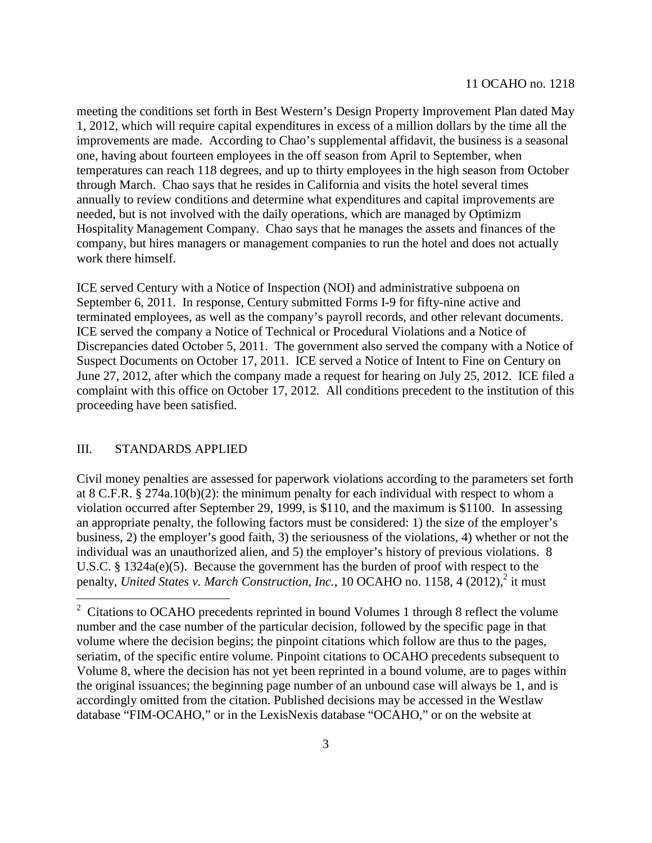meeting the conditions set forth in Best Western's Design Property Improvement Plan dated May 1, 2012, which will require capital expenditures in excess of a million dollars by the time all the improvements are made. According to Chao's supplemental affidavit, the business is a seasonal one, having about fourteen employees in the off season from April to September, when temperatures can reach 118 degrees, and up to thirty employees in the high season from October through March. Chao says that he resides in California and visits the hotel several times annually to review conditions and determine what expenditures and capital improvements are needed, but is not involved with the daily operations, which are managed by Optimizm Hospitality Management Company. Chao says that he manages the assets and finances of the company, but hires managers or management companies to run the hotel and does not actually work there himself.

ICE served Century with a Notice of Inspection (NOI) and administrative subpoena on September 6, 2011. In response, Century submitted Forms I-9 for fifty-nine active and terminated employees, as well as the company's payroll records, and other relevant documents. ICE served the company a Notice of Technical or Procedural Violations and a Notice of Discrepancies dated October 5, 2011. The government also served the company with a Notice of Suspect Documents on October 17, 2011. ICE served a Notice of Intent to Fine on Century on June 27, 2012, after which the company made a request for hearing on July 25, 2012. ICE filed a complaint with this office on October 17, 2012. All conditions precedent to the institution of this proceeding have been satisfied.

### III. STANDARDS APPLIED

Civil money penalties are assessed for paperwork violations according to the parameters set forth at 8 C.F.R. § 274a.10(b)(2): the minimum penalty for each individual with respect to whom a violation occurred after September 29, 1999, is \$110, and the maximum is \$1100. In assessing an appropriate penalty, the following factors must be considered: 1) the size of the employer's business, 2) the employer's good faith, 3) the seriousness of the violations, 4) whether or not the individual was an unauthorized alien, and 5) the employer's history of previous violations. 8 U.S.C. § 1324a(e)(5). Because the government has the burden of proof with respect to the penalty, *United States v. March Construction, Inc.*, 10 OCAHO no. 1158, 4 ([2](#page-2-0)012),<sup>2</sup> it must

<span id="page-2-0"></span> $2^{\circ}$  Citations to OCAHO precedents reprinted in bound Volumes 1 through 8 reflect the volume number and the case number of the particular decision, followed by the specific page in that volume where the decision begins; the pinpoint citations which follow are thus to the pages, seriatim, of the specific entire volume. Pinpoint citations to OCAHO precedents subsequent to Volume 8, where the decision has not yet been reprinted in a bound volume, are to pages within the original issuances; the beginning page number of an unbound case will always be 1, and is accordingly omitted from the citation. Published decisions may be accessed in the Westlaw database "FIM-OCAHO," or in the LexisNexis database "OCAHO," or on the website at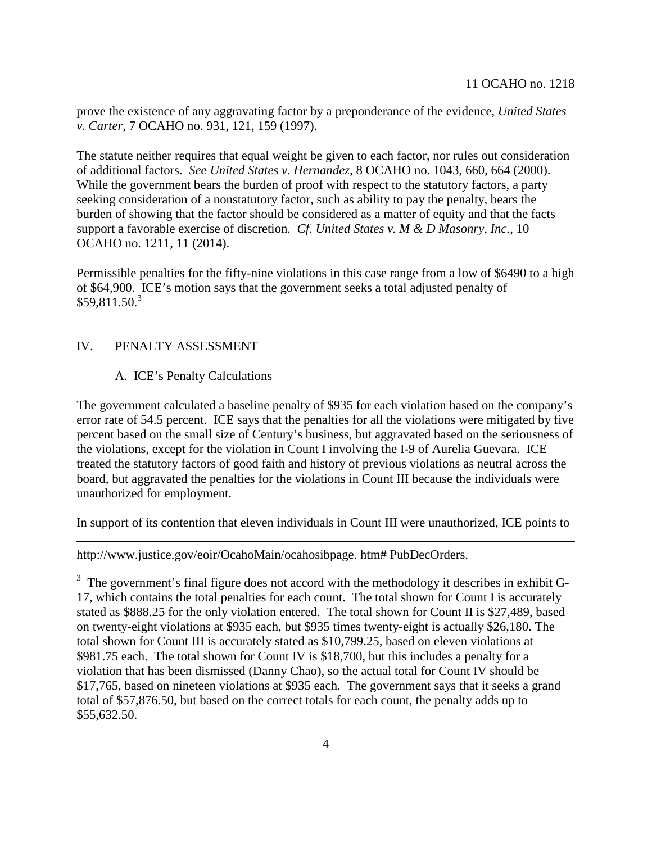prove the existence of any aggravating factor by a preponderance of the evidence, *United States v. Carter*, 7 OCAHO no. 931, 121, 159 (1997).

The statute neither requires that equal weight be given to each factor, nor rules out consideration of additional factors. *See United States v. Hernandez*, 8 OCAHO no. 1043, 660, 664 (2000). While the government bears the burden of proof with respect to the statutory factors, a party seeking consideration of a nonstatutory factor, such as ability to pay the penalty, bears the burden of showing that the factor should be considered as a matter of equity and that the facts support a favorable exercise of discretion*. Cf. United States v. M & D Masonry, Inc.*, 10 OCAHO no. 1211, 11 (2014).

Permissible penalties for the fifty-nine violations in this case range from a low of \$6490 to a high of \$64,900. ICE's motion says that the government seeks a total adjusted penalty of  $$59.811.50<sup>3</sup>$  $$59.811.50<sup>3</sup>$  $$59.811.50<sup>3</sup>$ 

# IV. PENALTY ASSESSMENT

# A. ICE's Penalty Calculations

The government calculated a baseline penalty of \$935 for each violation based on the company's error rate of 54.5 percent. ICE says that the penalties for all the violations were mitigated by five percent based on the small size of Century's business, but aggravated based on the seriousness of the violations, except for the violation in Count I involving the I-9 of Aurelia Guevara. ICE treated the statutory factors of good faith and history of previous violations as neutral across the board, but aggravated the penalties for the violations in Count III because the individuals were unauthorized for employment.

In support of its contention that eleven individuals in Count III were unauthorized, ICE points to

http://www.justice.gov/eoir/OcahoMain/ocahosibpage. htm# PubDecOrders.

<span id="page-3-0"></span> $3\,$  The government's final figure does not accord with the methodology it describes in exhibit G-17, which contains the total penalties for each count. The total shown for Count I is accurately stated as \$888.25 for the only violation entered. The total shown for Count II is \$27,489, based on twenty-eight violations at \$935 each, but \$935 times twenty-eight is actually \$26,180. The total shown for Count III is accurately stated as \$10,799.25, based on eleven violations at \$981.75 each. The total shown for Count IV is \$18,700, but this includes a penalty for a violation that has been dismissed (Danny Chao), so the actual total for Count IV should be \$17,765, based on nineteen violations at \$935 each. The government says that it seeks a grand total of \$57,876.50, but based on the correct totals for each count, the penalty adds up to \$55,632.50.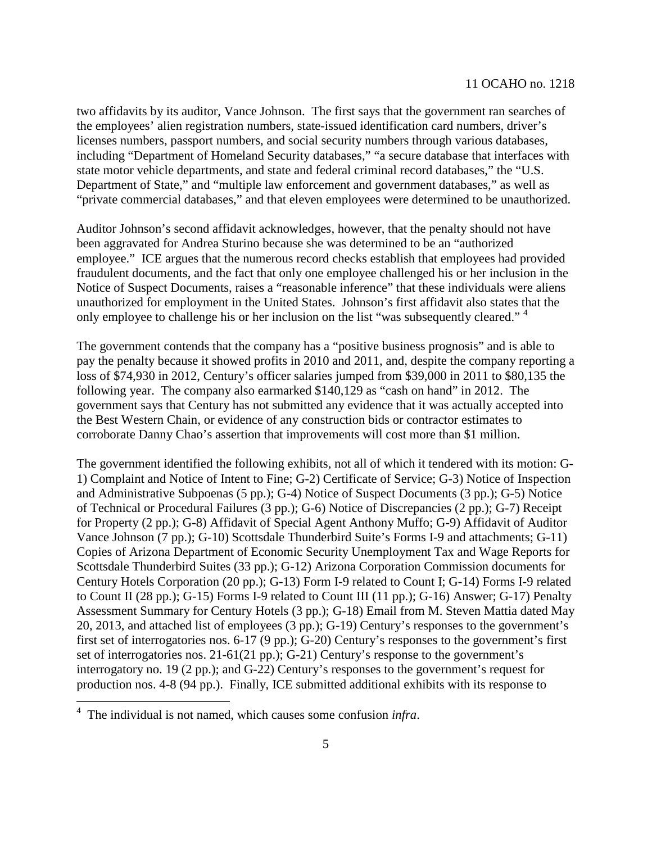two affidavits by its auditor, Vance Johnson. The first says that the government ran searches of the employees' alien registration numbers, state-issued identification card numbers, driver's licenses numbers, passport numbers, and social security numbers through various databases, including "Department of Homeland Security databases," "a secure database that interfaces with state motor vehicle departments, and state and federal criminal record databases," the "U.S. Department of State," and "multiple law enforcement and government databases," as well as "private commercial databases," and that eleven employees were determined to be unauthorized.

Auditor Johnson's second affidavit acknowledges, however, that the penalty should not have been aggravated for Andrea Sturino because she was determined to be an "authorized employee." ICE argues that the numerous record checks establish that employees had provided fraudulent documents, and the fact that only one employee challenged his or her inclusion in the Notice of Suspect Documents, raises a "reasonable inference" that these individuals were aliens unauthorized for employment in the United States. Johnson's first affidavit also states that the only employee to challenge his or her inclusion on the list "was subsequently cleared." <sup>[4](#page-4-0)</sup>

The government contends that the company has a "positive business prognosis" and is able to pay the penalty because it showed profits in 2010 and 2011, and, despite the company reporting a loss of \$74,930 in 2012, Century's officer salaries jumped from \$39,000 in 2011 to \$80,135 the following year. The company also earmarked \$140,129 as "cash on hand" in 2012. The government says that Century has not submitted any evidence that it was actually accepted into the Best Western Chain, or evidence of any construction bids or contractor estimates to corroborate Danny Chao's assertion that improvements will cost more than \$1 million.

The government identified the following exhibits, not all of which it tendered with its motion: G-1) Complaint and Notice of Intent to Fine; G-2) Certificate of Service; G-3) Notice of Inspection and Administrative Subpoenas (5 pp.); G-4) Notice of Suspect Documents (3 pp.); G-5) Notice of Technical or Procedural Failures (3 pp.); G-6) Notice of Discrepancies (2 pp.); G-7) Receipt for Property (2 pp.); G-8) Affidavit of Special Agent Anthony Muffo; G-9) Affidavit of Auditor Vance Johnson (7 pp.); G-10) Scottsdale Thunderbird Suite's Forms I-9 and attachments; G-11) Copies of Arizona Department of Economic Security Unemployment Tax and Wage Reports for Scottsdale Thunderbird Suites (33 pp.); G-12) Arizona Corporation Commission documents for Century Hotels Corporation (20 pp.); G-13) Form I-9 related to Count I; G-14) Forms I-9 related to Count II (28 pp.); G-15) Forms I-9 related to Count III (11 pp.); G-16) Answer; G-17) Penalty Assessment Summary for Century Hotels (3 pp.); G-18) Email from M. Steven Mattia dated May 20, 2013, and attached list of employees (3 pp.); G-19) Century's responses to the government's first set of interrogatories nos. 6-17 (9 pp.); G-20) Century's responses to the government's first set of interrogatories nos. 21-61(21 pp.); G-21) Century's response to the government's interrogatory no. 19 (2 pp.); and G-22) Century's responses to the government's request for production nos. 4-8 (94 pp.). Finally, ICE submitted additional exhibits with its response to

<span id="page-4-0"></span><sup>4</sup> The individual is not named, which causes some confusion *infra*.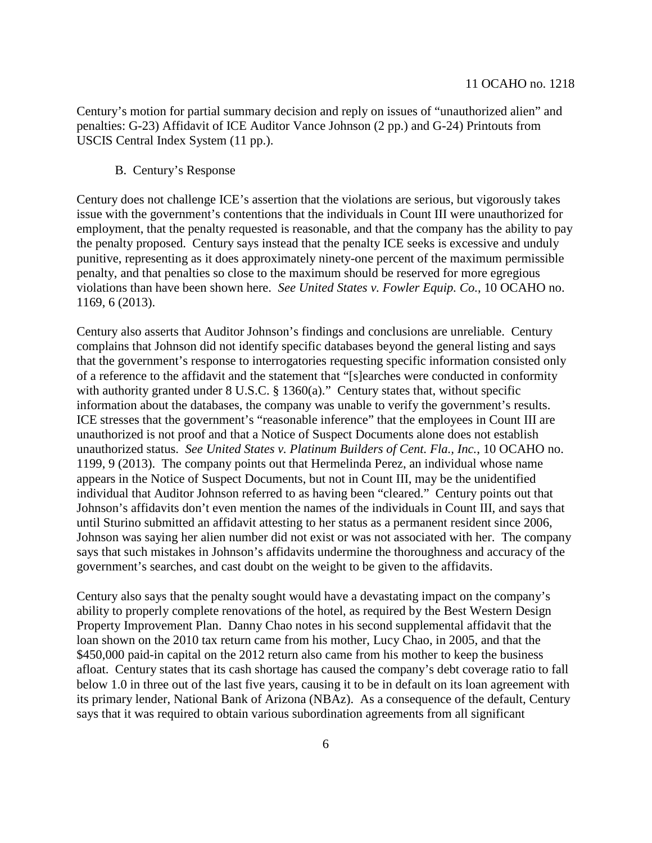Century's motion for partial summary decision and reply on issues of "unauthorized alien" and penalties: G-23) Affidavit of ICE Auditor Vance Johnson (2 pp.) and G-24) Printouts from USCIS Central Index System (11 pp.).

B. Century's Response

Century does not challenge ICE's assertion that the violations are serious, but vigorously takes issue with the government's contentions that the individuals in Count III were unauthorized for employment, that the penalty requested is reasonable, and that the company has the ability to pay the penalty proposed. Century says instead that the penalty ICE seeks is excessive and unduly punitive, representing as it does approximately ninety-one percent of the maximum permissible penalty, and that penalties so close to the maximum should be reserved for more egregious violations than have been shown here. *See United States v. Fowler Equip. Co.*, 10 OCAHO no. 1169, 6 (2013).

Century also asserts that Auditor Johnson's findings and conclusions are unreliable. Century complains that Johnson did not identify specific databases beyond the general listing and says that the government's response to interrogatories requesting specific information consisted only of a reference to the affidavit and the statement that "[s]earches were conducted in conformity with authority granted under 8 U.S.C. § 1360(a)." Century states that, without specific information about the databases, the company was unable to verify the government's results. ICE stresses that the government's "reasonable inference" that the employees in Count III are unauthorized is not proof and that a Notice of Suspect Documents alone does not establish unauthorized status. *See United States v. Platinum Builders of Cent. Fla., Inc.*, 10 OCAHO no. 1199, 9 (2013). The company points out that Hermelinda Perez, an individual whose name appears in the Notice of Suspect Documents, but not in Count III, may be the unidentified individual that Auditor Johnson referred to as having been "cleared." Century points out that Johnson's affidavits don't even mention the names of the individuals in Count III, and says that until Sturino submitted an affidavit attesting to her status as a permanent resident since 2006, Johnson was saying her alien number did not exist or was not associated with her. The company says that such mistakes in Johnson's affidavits undermine the thoroughness and accuracy of the government's searches, and cast doubt on the weight to be given to the affidavits.

Century also says that the penalty sought would have a devastating impact on the company's ability to properly complete renovations of the hotel, as required by the Best Western Design Property Improvement Plan. Danny Chao notes in his second supplemental affidavit that the loan shown on the 2010 tax return came from his mother, Lucy Chao, in 2005, and that the \$450,000 paid-in capital on the 2012 return also came from his mother to keep the business afloat. Century states that its cash shortage has caused the company's debt coverage ratio to fall below 1.0 in three out of the last five years, causing it to be in default on its loan agreement with its primary lender, National Bank of Arizona (NBAz). As a consequence of the default, Century says that it was required to obtain various subordination agreements from all significant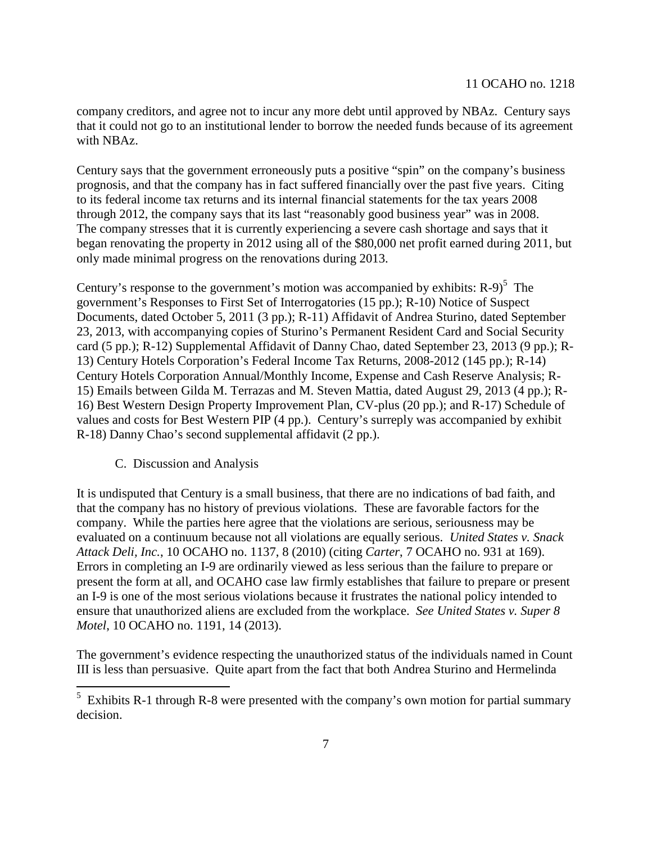company creditors, and agree not to incur any more debt until approved by NBAz. Century says that it could not go to an institutional lender to borrow the needed funds because of its agreement with NBAz.

Century says that the government erroneously puts a positive "spin" on the company's business prognosis, and that the company has in fact suffered financially over the past five years. Citing to its federal income tax returns and its internal financial statements for the tax years 2008 through 2012, the company says that its last "reasonably good business year" was in 2008. The company stresses that it is currently experiencing a severe cash shortage and says that it began renovating the property in 2012 using all of the \$80,000 net profit earned during 2011, but only made minimal progress on the renovations during 2013.

Century'sresponse to the government's motion was accompanied by exhibits:  $R-9$ <sup>5</sup> The government's Responses to First Set of Interrogatories (15 pp.); R-10) Notice of Suspect Documents, dated October 5, 2011 (3 pp.); R-11) Affidavit of Andrea Sturino, dated September 23, 2013, with accompanying copies of Sturino's Permanent Resident Card and Social Security card (5 pp.); R-12) Supplemental Affidavit of Danny Chao, dated September 23, 2013 (9 pp.); R-13) Century Hotels Corporation's Federal Income Tax Returns, 2008-2012 (145 pp.); R-14) Century Hotels Corporation Annual/Monthly Income, Expense and Cash Reserve Analysis; R-15) Emails between Gilda M. Terrazas and M. Steven Mattia, dated August 29, 2013 (4 pp.); R-16) Best Western Design Property Improvement Plan, CV-plus (20 pp.); and R-17) Schedule of values and costs for Best Western PIP (4 pp.). Century's surreply was accompanied by exhibit R-18) Danny Chao's second supplemental affidavit (2 pp.).

### C. Discussion and Analysis

It is undisputed that Century is a small business, that there are no indications of bad faith, and that the company has no history of previous violations. These are favorable factors for the company. While the parties here agree that the violations are serious, seriousness may be evaluated on a continuum because not all violations are equally serious. *United States v. Snack Attack Deli, Inc.*, 10 OCAHO no. 1137, 8 (2010) (citing *Carter*, 7 OCAHO no. 931 at 169). Errors in completing an I-9 are ordinarily viewed as less serious than the failure to prepare or present the form at all, and OCAHO case law firmly establishes that failure to prepare or present an I-9 is one of the most serious violations because it frustrates the national policy intended to ensure that unauthorized aliens are excluded from the workplace. *See United States v. Super 8 Motel*, 10 OCAHO no. 1191, 14 (2013).

The government's evidence respecting the unauthorized status of the individuals named in Count III is less than persuasive. Quite apart from the fact that both Andrea Sturino and Hermelinda

<span id="page-6-0"></span><sup>&</sup>lt;sup>5</sup> Exhibits R-1 through R-8 were presented with the company's own motion for partial summary decision.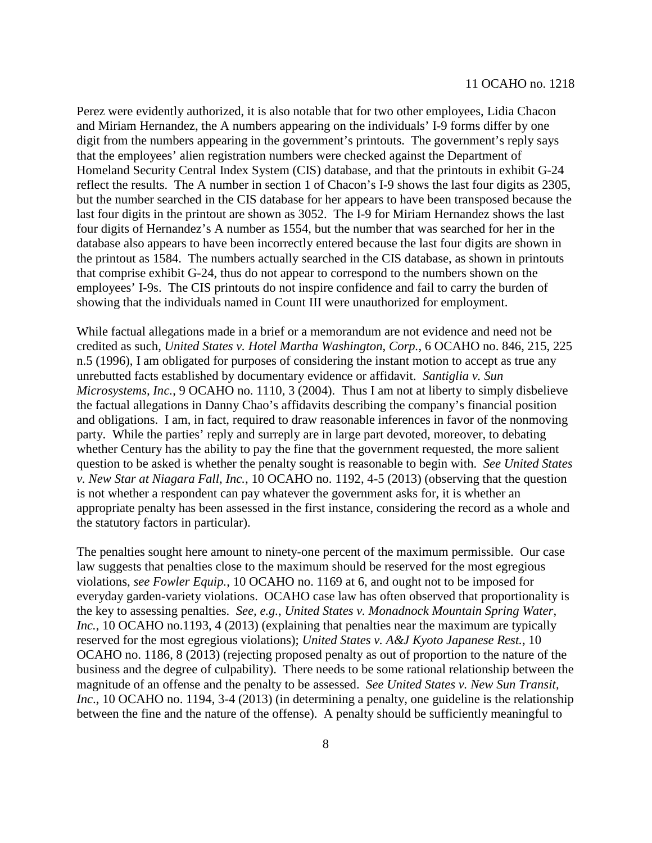Perez were evidently authorized, it is also notable that for two other employees, Lidia Chacon and Miriam Hernandez, the A numbers appearing on the individuals' I-9 forms differ by one digit from the numbers appearing in the government's printouts. The government's reply says that the employees' alien registration numbers were checked against the Department of Homeland Security Central Index System (CIS) database, and that the printouts in exhibit G-24 reflect the results. The A number in section 1 of Chacon's I-9 shows the last four digits as 2305, but the number searched in the CIS database for her appears to have been transposed because the last four digits in the printout are shown as 3052. The I-9 for Miriam Hernandez shows the last four digits of Hernandez's A number as 1554, but the number that was searched for her in the database also appears to have been incorrectly entered because the last four digits are shown in the printout as 1584. The numbers actually searched in the CIS database, as shown in printouts that comprise exhibit G-24, thus do not appear to correspond to the numbers shown on the employees' I-9s. The CIS printouts do not inspire confidence and fail to carry the burden of showing that the individuals named in Count III were unauthorized for employment.

While factual allegations made in a brief or a memorandum are not evidence and need not be credited as such, *United States v. Hotel Martha Washington*, *Corp.*, 6 OCAHO no. 846, 215, 225 n.5 (1996), I am obligated for purposes of considering the instant motion to accept as true any unrebutted facts established by documentary evidence or affidavit. *Santiglia v. Sun Microsystems, Inc.*, 9 OCAHO no. 1110, 3 (2004). Thus I am not at liberty to simply disbelieve the factual allegations in Danny Chao's affidavits describing the company's financial position and obligations. I am, in fact, required to draw reasonable inferences in favor of the nonmoving party. While the parties' reply and surreply are in large part devoted, moreover, to debating whether Century has the ability to pay the fine that the government requested, the more salient question to be asked is whether the penalty sought is reasonable to begin with. *See United States v. New Star at Niagara Fall, Inc.*, 10 OCAHO no. 1192, 4-5 (2013) (observing that the question is not whether a respondent can pay whatever the government asks for, it is whether an appropriate penalty has been assessed in the first instance, considering the record as a whole and the statutory factors in particular).

The penalties sought here amount to ninety-one percent of the maximum permissible. Our case law suggests that penalties close to the maximum should be reserved for the most egregious violations, *see Fowler Equip.*, 10 OCAHO no. 1169 at 6, and ought not to be imposed for everyday garden-variety violations. OCAHO case law has often observed that proportionality is the key to assessing penalties. *See, e.g.*, *United States v. Monadnock Mountain Spring Water*, *Inc.*, 10 OCAHO no.1193, 4 (2013) (explaining that penalties near the maximum are typically reserved for the most egregious violations); *United States v. A&J Kyoto Japanese Rest.*, 10 OCAHO no. 1186, 8 (2013) (rejecting proposed penalty as out of proportion to the nature of the business and the degree of culpability). There needs to be some rational relationship between the magnitude of an offense and the penalty to be assessed. *See United States v. New Sun Transit, Inc*., 10 OCAHO no. 1194, 3-4 (2013) (in determining a penalty, one guideline is the relationship between the fine and the nature of the offense). A penalty should be sufficiently meaningful to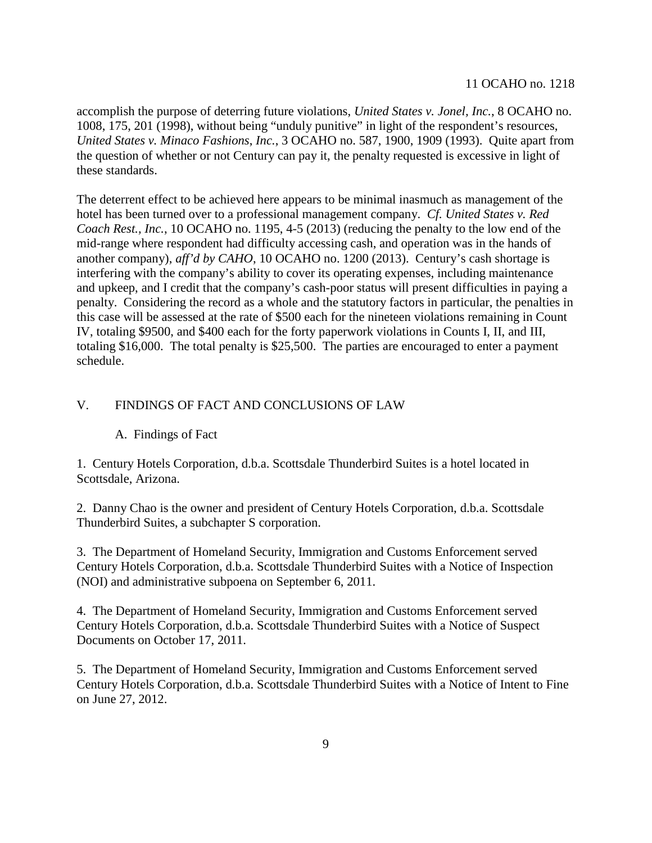accomplish the purpose of deterring future violations, *United States v. Jonel, Inc.*, 8 OCAHO no. 1008, 175, 201 (1998), without being "unduly punitive" in light of the respondent's resources, *United States v. Minaco Fashions*, *Inc.*, 3 OCAHO no. 587, 1900, 1909 (1993). Quite apart from the question of whether or not Century can pay it, the penalty requested is excessive in light of these standards.

The deterrent effect to be achieved here appears to be minimal inasmuch as management of the hotel has been turned over to a professional management company. *Cf. United States v. Red Coach Rest., Inc.*, 10 OCAHO no. 1195, 4-5 (2013) (reducing the penalty to the low end of the mid-range where respondent had difficulty accessing cash, and operation was in the hands of another company), *aff'd by CAHO*, 10 OCAHO no. 1200 (2013). Century's cash shortage is interfering with the company's ability to cover its operating expenses, including maintenance and upkeep, and I credit that the company's cash-poor status will present difficulties in paying a penalty. Considering the record as a whole and the statutory factors in particular, the penalties in this case will be assessed at the rate of \$500 each for the nineteen violations remaining in Count IV, totaling \$9500, and \$400 each for the forty paperwork violations in Counts I, II, and III, totaling \$16,000. The total penalty is \$25,500. The parties are encouraged to enter a payment schedule.

## V. FINDINGS OF FACT AND CONCLUSIONS OF LAW

### A. Findings of Fact

1. Century Hotels Corporation, d.b.a. Scottsdale Thunderbird Suites is a hotel located in Scottsdale, Arizona.

2. Danny Chao is the owner and president of Century Hotels Corporation, d.b.a. Scottsdale Thunderbird Suites, a subchapter S corporation.

3. The Department of Homeland Security, Immigration and Customs Enforcement served Century Hotels Corporation, d.b.a. Scottsdale Thunderbird Suites with a Notice of Inspection (NOI) and administrative subpoena on September 6, 2011.

4. The Department of Homeland Security, Immigration and Customs Enforcement served Century Hotels Corporation, d.b.a. Scottsdale Thunderbird Suites with a Notice of Suspect Documents on October 17, 2011.

5. The Department of Homeland Security, Immigration and Customs Enforcement served Century Hotels Corporation, d.b.a. Scottsdale Thunderbird Suites with a Notice of Intent to Fine on June 27, 2012.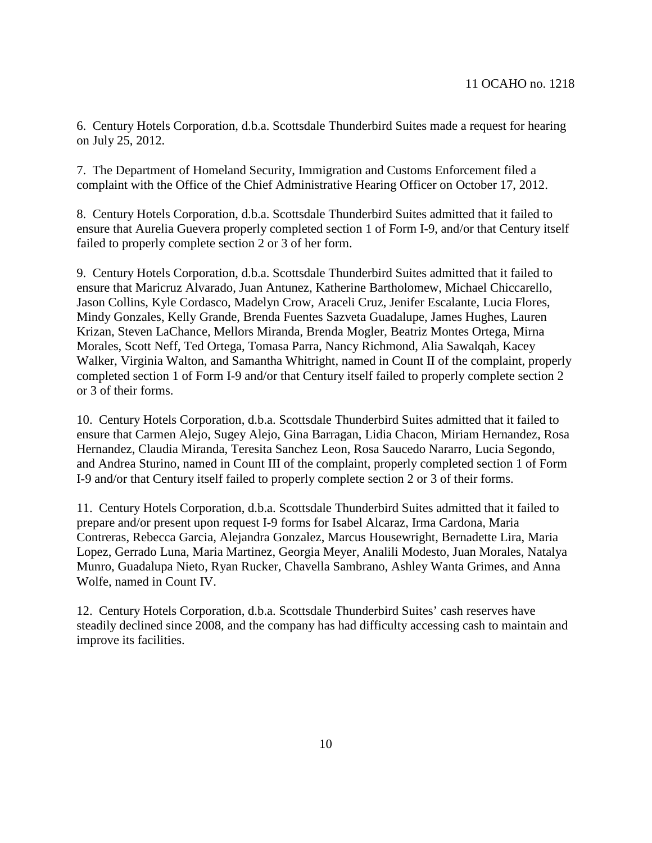6. Century Hotels Corporation, d.b.a. Scottsdale Thunderbird Suites made a request for hearing on July 25, 2012.

7. The Department of Homeland Security, Immigration and Customs Enforcement filed a complaint with the Office of the Chief Administrative Hearing Officer on October 17, 2012.

8. Century Hotels Corporation, d.b.a. Scottsdale Thunderbird Suites admitted that it failed to ensure that Aurelia Guevera properly completed section 1 of Form I-9, and/or that Century itself failed to properly complete section 2 or 3 of her form.

9. Century Hotels Corporation, d.b.a. Scottsdale Thunderbird Suites admitted that it failed to ensure that Maricruz Alvarado, Juan Antunez, Katherine Bartholomew, Michael Chiccarello, Jason Collins, Kyle Cordasco, Madelyn Crow, Araceli Cruz, Jenifer Escalante, Lucia Flores, Mindy Gonzales, Kelly Grande, Brenda Fuentes Sazveta Guadalupe, James Hughes, Lauren Krizan, Steven LaChance, Mellors Miranda, Brenda Mogler, Beatriz Montes Ortega, Mirna Morales, Scott Neff, Ted Ortega, Tomasa Parra, Nancy Richmond, Alia Sawalqah, Kacey Walker, Virginia Walton, and Samantha Whitright, named in Count II of the complaint, properly completed section 1 of Form I-9 and/or that Century itself failed to properly complete section 2 or 3 of their forms.

10. Century Hotels Corporation, d.b.a. Scottsdale Thunderbird Suites admitted that it failed to ensure that Carmen Alejo, Sugey Alejo, Gina Barragan, Lidia Chacon, Miriam Hernandez, Rosa Hernandez, Claudia Miranda, Teresita Sanchez Leon, Rosa Saucedo Nararro, Lucia Segondo, and Andrea Sturino, named in Count III of the complaint, properly completed section 1 of Form I-9 and/or that Century itself failed to properly complete section 2 or 3 of their forms.

11. Century Hotels Corporation, d.b.a. Scottsdale Thunderbird Suites admitted that it failed to prepare and/or present upon request I-9 forms for Isabel Alcaraz, Irma Cardona, Maria Contreras, Rebecca Garcia, Alejandra Gonzalez, Marcus Housewright, Bernadette Lira, Maria Lopez, Gerrado Luna, Maria Martinez, Georgia Meyer, Analili Modesto, Juan Morales, Natalya Munro, Guadalupa Nieto, Ryan Rucker, Chavella Sambrano, Ashley Wanta Grimes, and Anna Wolfe, named in Count IV.

12. Century Hotels Corporation, d.b.a. Scottsdale Thunderbird Suites' cash reserves have steadily declined since 2008, and the company has had difficulty accessing cash to maintain and improve its facilities.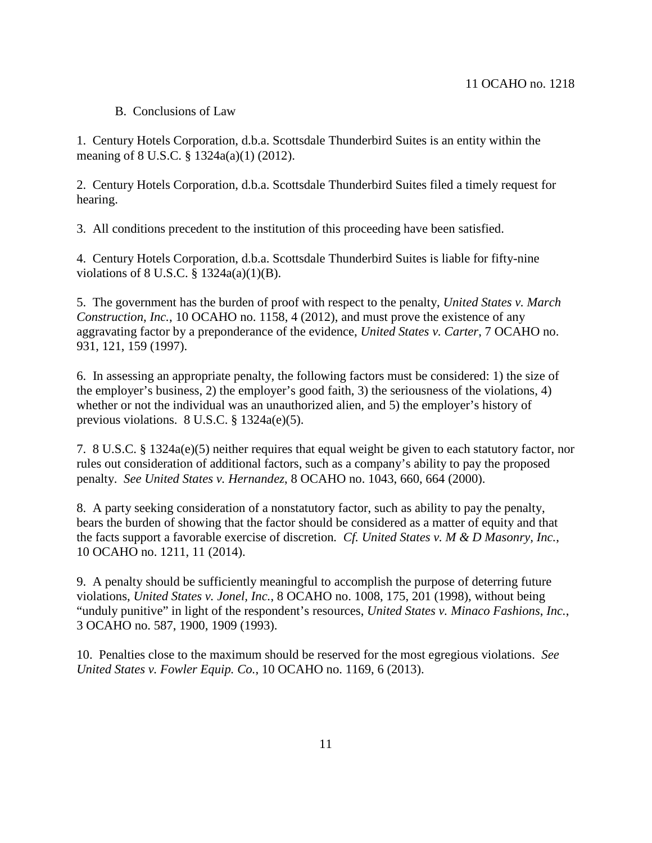#### 11 OCAHO no. 1218

### B. Conclusions of Law

1. Century Hotels Corporation, d.b.a. Scottsdale Thunderbird Suites is an entity within the meaning of 8 U.S.C. § 1324a(a)(1) (2012).

2. Century Hotels Corporation, d.b.a. Scottsdale Thunderbird Suites filed a timely request for hearing.

3. All conditions precedent to the institution of this proceeding have been satisfied.

4. Century Hotels Corporation, d.b.a. Scottsdale Thunderbird Suites is liable for fifty-nine violations of 8 U.S.C. § 1324a(a)(1)(B).

5. The government has the burden of proof with respect to the penalty, *United States v. March Construction*, *Inc.*, 10 OCAHO no. 1158, 4 (2012), and must prove the existence of any aggravating factor by a preponderance of the evidence, *United States v. Carter*, 7 OCAHO no. 931, 121, 159 (1997).

6. In assessing an appropriate penalty, the following factors must be considered: 1) the size of the employer's business, 2) the employer's good faith, 3) the seriousness of the violations, 4) whether or not the individual was an unauthorized alien, and 5) the employer's history of previous violations. 8 U.S.C. § 1324a(e)(5).

7. 8 U.S.C. § 1324a(e)(5) neither requires that equal weight be given to each statutory factor, nor rules out consideration of additional factors, such as a company's ability to pay the proposed penalty. *See United States v. Hernandez*, 8 OCAHO no. 1043, 660, 664 (2000).

8. A party seeking consideration of a nonstatutory factor, such as ability to pay the penalty, bears the burden of showing that the factor should be considered as a matter of equity and that the facts support a favorable exercise of discretion*. Cf. United States v. M & D Masonry, Inc.*, 10 OCAHO no. 1211, 11 (2014).

9. A penalty should be sufficiently meaningful to accomplish the purpose of deterring future violations, *United States v. Jonel, Inc.*, 8 OCAHO no. 1008, 175, 201 (1998), without being "unduly punitive" in light of the respondent's resources, *United States v. Minaco Fashions*, *Inc.*, 3 OCAHO no. 587, 1900, 1909 (1993).

10. Penalties close to the maximum should be reserved for the most egregious violations. *See United States v. Fowler Equip. Co.*, 10 OCAHO no. 1169, 6 (2013).